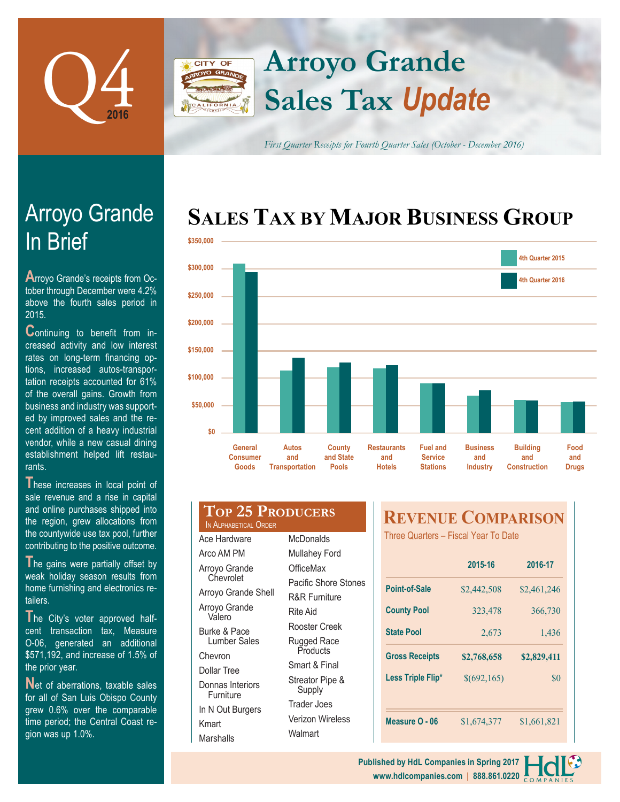

# **Sales Tax** *Update* **Arroyo Grande**

*First Quarter Receipts for Fourth Quarter Sales (October - December 2016)*

## **SALES TAX BY MAJOR BUSINESS GROUP**



# In Brief Arroyo Grande

**A**rroyo Grande's receipts from October through December were 4.2% above the fourth sales period in 2015.

**C**ontinuing to benefit from increased activity and low interest rates on long-term financing options, increased autos-transportation receipts accounted for 61% of the overall gains. Growth from business and industry was supported by improved sales and the recent addition of a heavy industrial vendor, while a new casual dining establishment helped lift restaurants.

These increases in local point of sale revenue and a rise in capital and online purchases shipped into the region, grew allocations from the countywide use tax pool, further contributing to the positive outcome.

The gains were partially offset by weak holiday season results from home furnishing and electronics retailers.

**T**he City's voter approved halfcent transaction tax, Measure O-06, generated an additional \$571,192, and increase of 1.5% of the prior year.

Net of aberrations, taxable sales for all of San Luis Obispo County grew 0.6% over the comparable time period; the Central Coast region was up 1.0%.

| <b>TOP 25 PRODUCERS</b>                                          |                           |  |
|------------------------------------------------------------------|---------------------------|--|
| IN ALPHABETICAL ORDER                                            |                           |  |
| Ace Hardware                                                     | McDonalds                 |  |
| Arco AM PM                                                       | <b>Mullahey Ford</b>      |  |
| Arroyo Grande                                                    | OfficeMax                 |  |
| Chevrolet                                                        | Pacific Shore Stones      |  |
| Arroyo Grande Shell                                              | <b>R&amp;R Furniture</b>  |  |
| Arroyo Grande<br>Valero                                          | Rite Aid                  |  |
| Burke & Pace                                                     | Rooster Creek             |  |
| Lumber Sales                                                     | Rugged Race               |  |
| Chevron                                                          | Products                  |  |
| <b>Dollar Tree</b>                                               | Smart & Final             |  |
| Donnas Interiors<br>Furniture                                    | Streator Pipe &<br>Supply |  |
| $\mathbf{1}$ $\mathbf{1}$ $\mathbf{0}$ $\mathbf{1}$ $\mathbf{0}$ | Trader Joes               |  |

Verizon Wireless

Walmart

CITY OF

Kmart Marshalls

In N Out Burgers

### **REVENUE COMPARISON**

Three Quarters – Fiscal Year To Date

|                       | 2015-16     | 2016-17     |  |
|-----------------------|-------------|-------------|--|
| Point-of-Sale         | \$2,442,508 | \$2,461,246 |  |
| <b>County Pool</b>    | 323,478     | 366,730     |  |
| <b>State Pool</b>     | 2.673       | 1,436       |  |
|                       |             |             |  |
| <b>Gross Receipts</b> | \$2,768,658 | \$2,829,411 |  |
| Less Triple Flip*     | \$(692,165) | \$0         |  |
|                       |             |             |  |

**www.hdlcompanies.com | 888.861.0220 Published by HdL Companies in Spring 2017**